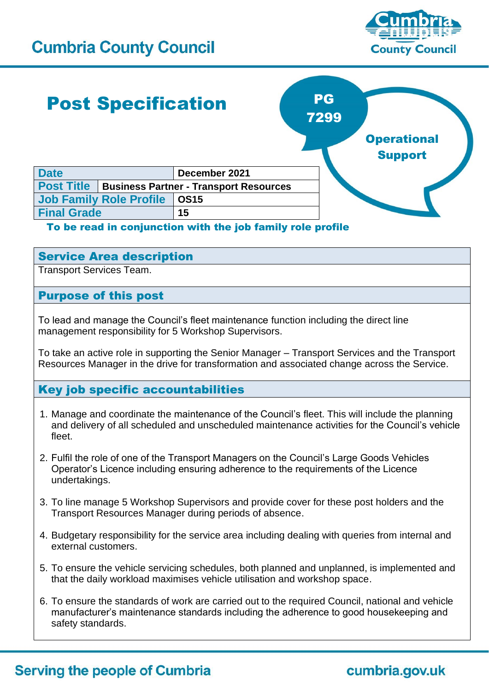## **Cumbria County Council**



# Post Specification



## To be read in conjunction with the job family role profile

## Service Area description

**Job Family Role Profile OS15 Final Grade 15**

Transport Services Team.

## Purpose of this post

To lead and manage the Council's fleet maintenance function including the direct line management responsibility for 5 Workshop Supervisors.

To take an active role in supporting the Senior Manager – Transport Services and the Transport Resources Manager in the drive for transformation and associated change across the Service.

## Key job specific accountabilities

- 1. Manage and coordinate the maintenance of the Council's fleet. This will include the planning and delivery of all scheduled and unscheduled maintenance activities for the Council's vehicle fleet.
- 2. Fulfil the role of one of the Transport Managers on the Council's Large Goods Vehicles Operator's Licence including ensuring adherence to the requirements of the Licence undertakings.
- 3. To line manage 5 Workshop Supervisors and provide cover for these post holders and the Transport Resources Manager during periods of absence.
- 4. Budgetary responsibility for the service area including dealing with queries from internal and external customers.
- 5. To ensure the vehicle servicing schedules, both planned and unplanned, is implemented and that the daily workload maximises vehicle utilisation and workshop space.
- 6. To ensure the standards of work are carried out to the required Council, national and vehicle manufacturer's maintenance standards including the adherence to good housekeeping and safety standards.

## **Serving the people of Cumbria**

cumbria.gov.uk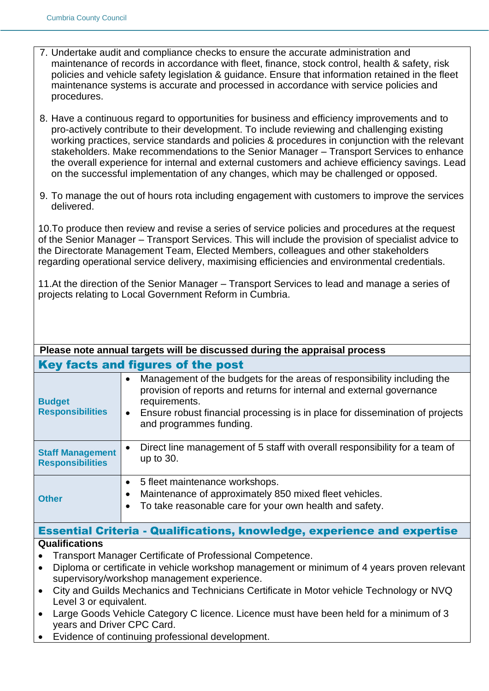- 7. Undertake audit and compliance checks to ensure the accurate administration and maintenance of records in accordance with fleet, finance, stock control, health & safety, risk policies and vehicle safety legislation & guidance. Ensure that information retained in the fleet maintenance systems is accurate and processed in accordance with service policies and procedures.
- 8. Have a continuous regard to opportunities for business and efficiency improvements and to pro-actively contribute to their development. To include reviewing and challenging existing working practices, service standards and policies & procedures in conjunction with the relevant stakeholders. Make recommendations to the Senior Manager – Transport Services to enhance the overall experience for internal and external customers and achieve efficiency savings. Lead on the successful implementation of any changes, which may be challenged or opposed.
- 9. To manage the out of hours rota including engagement with customers to improve the services delivered.

10.To produce then review and revise a series of service policies and procedures at the request of the Senior Manager – Transport Services. This will include the provision of specialist advice to the Directorate Management Team, Elected Members, colleagues and other stakeholders regarding operational service delivery, maximising efficiencies and environmental credentials.

11.At the direction of the Senior Manager – Transport Services to lead and manage a series of projects relating to Local Government Reform in Cumbria.

| Please note annual targets will be discussed during the appraisal process       |                                                                                                                                                                                                                                                                                                        |  |
|---------------------------------------------------------------------------------|--------------------------------------------------------------------------------------------------------------------------------------------------------------------------------------------------------------------------------------------------------------------------------------------------------|--|
| Key facts and figures of the post                                               |                                                                                                                                                                                                                                                                                                        |  |
| <b>Budget</b><br><b>Responsibilities</b>                                        | Management of the budgets for the areas of responsibility including the<br>$\bullet$<br>provision of reports and returns for internal and external governance<br>requirements.<br>Ensure robust financial processing is in place for dissemination of projects<br>$\bullet$<br>and programmes funding. |  |
| <b>Staff Management</b><br><b>Responsibilities</b>                              | Direct line management of 5 staff with overall responsibility for a team of<br>up to 30.                                                                                                                                                                                                               |  |
| <b>Other</b>                                                                    | 5 fleet maintenance workshops.<br>$\bullet$<br>Maintenance of approximately 850 mixed fleet vehicles.<br>To take reasonable care for your own health and safety.                                                                                                                                       |  |
| <b>Essential Criteria - Qualifications, knowledge, experience and expertise</b> |                                                                                                                                                                                                                                                                                                        |  |
| <b>Qualifications</b>                                                           |                                                                                                                                                                                                                                                                                                        |  |

- Transport Manager Certificate of Professional Competence.
- Diploma or certificate in vehicle workshop management or minimum of 4 years proven relevant supervisory/workshop management experience.
- City and Guilds Mechanics and Technicians Certificate in Motor vehicle Technology or NVQ Level 3 or equivalent.
- Large Goods Vehicle Category C licence. Licence must have been held for a minimum of 3 years and Driver CPC Card.
- Evidence of continuing professional development.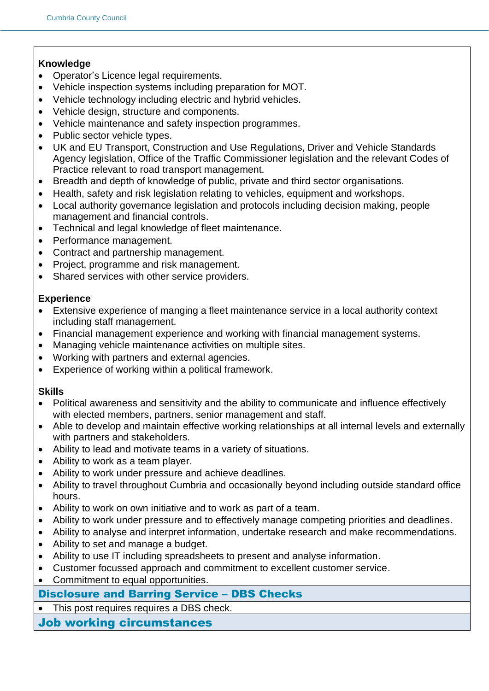## **Knowledge**

- Operator's Licence legal requirements.
- Vehicle inspection systems including preparation for MOT.
- Vehicle technology including electric and hybrid vehicles.
- Vehicle design, structure and components.
- Vehicle maintenance and safety inspection programmes.
- Public sector vehicle types.
- UK and EU Transport, Construction and Use Regulations, Driver and Vehicle Standards Agency legislation, Office of the Traffic Commissioner legislation and the relevant Codes of Practice relevant to road transport management.
- Breadth and depth of knowledge of public, private and third sector organisations.
- Health, safety and risk legislation relating to vehicles, equipment and workshops.
- Local authority governance legislation and protocols including decision making, people management and financial controls.
- Technical and legal knowledge of fleet maintenance.
- Performance management.
- Contract and partnership management.
- Project, programme and risk management.
- Shared services with other service providers.

## **Experience**

- Extensive experience of manging a fleet maintenance service in a local authority context including staff management.
- Financial management experience and working with financial management systems.
- Managing vehicle maintenance activities on multiple sites.
- Working with partners and external agencies.
- Experience of working within a political framework.

#### **Skills**

- Political awareness and sensitivity and the ability to communicate and influence effectively with elected members, partners, senior management and staff.
- Able to develop and maintain effective working relationships at all internal levels and externally with partners and stakeholders.
- Ability to lead and motivate teams in a variety of situations.
- Ability to work as a team player.
- Ability to work under pressure and achieve deadlines.
- Ability to travel throughout Cumbria and occasionally beyond including outside standard office hours.
- Ability to work on own initiative and to work as part of a team.
- Ability to work under pressure and to effectively manage competing priorities and deadlines.
- Ability to analyse and interpret information, undertake research and make recommendations.
- Ability to set and manage a budget.
- Ability to use IT including spreadsheets to present and analyse information.
- Customer focussed approach and commitment to excellent customer service.
- Commitment to equal opportunities.

## Disclosure and Barring Service – DBS Checks

• This post requires requires a DBS check.

Job working circumstances